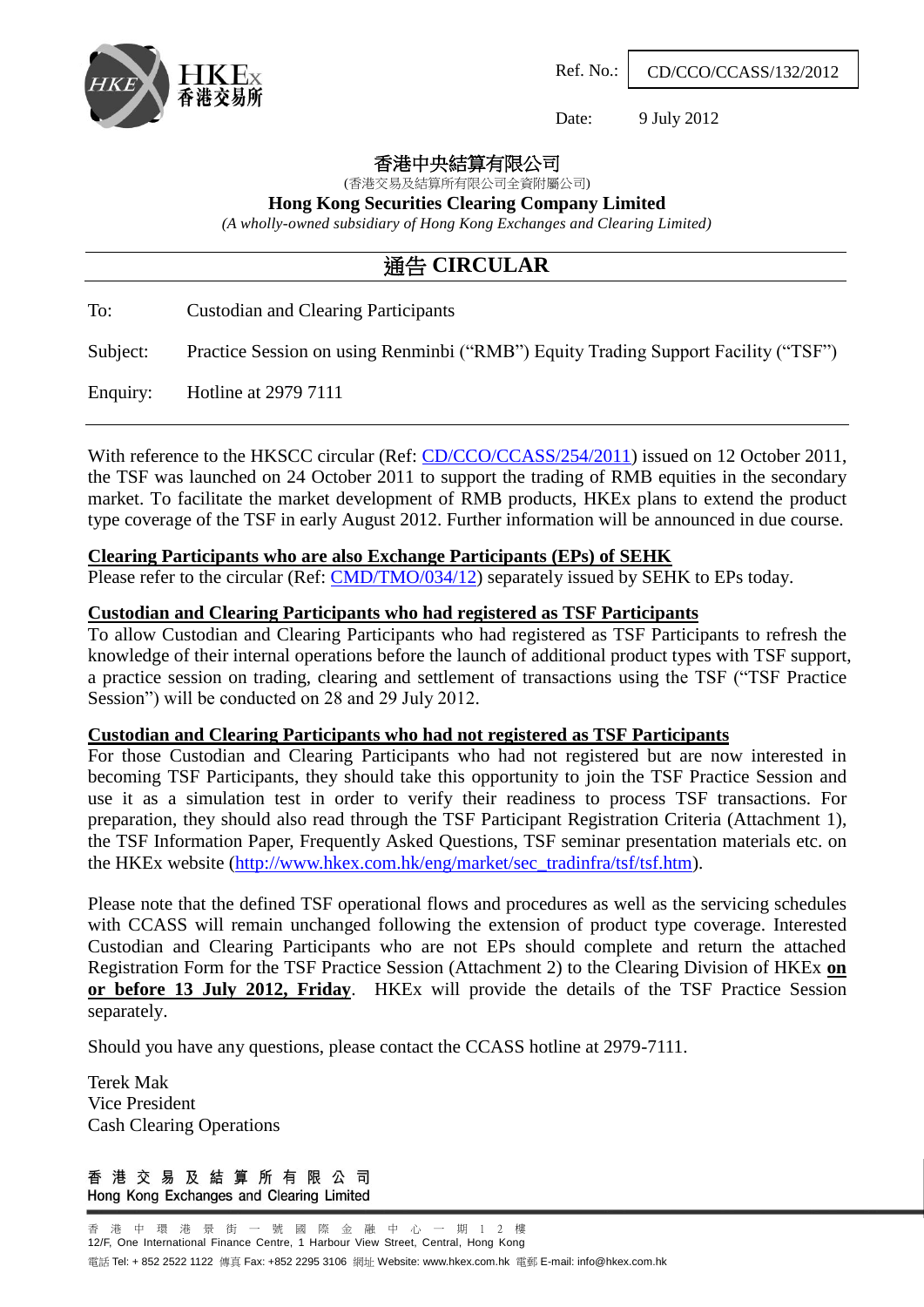

Ref. No.: CD/CCO/CCASS/132/2012

Date: 9 July 2012

香港中央結算有限公司

(香港交易及結算所有限公司全資附屬公司)

**Hong Kong Securities Clearing Company Limited**

*(A wholly-owned subsidiary of Hong Kong Exchanges and Clearing Limited)*

# 通告 **CIRCULAR**

To: Custodian and Clearing Participants

Subject: Practice Session on using Renminbi ("RMB") Equity Trading Support Facility ("TSF")

Enquiry: Hotline at 2979 7111

With reference to the HKSCC circular (Ref: [CD/CCO/CCASS/254/2011\)](http://www.hkex.com.hk/eng/market/partcir/hkscc/2011/Documents/ce254_2011.pdf) issued on 12 October 2011, the TSF was launched on 24 October 2011 to support the trading of RMB equities in the secondary market. To facilitate the market development of RMB products, HKEx plans to extend the product type coverage of the TSF in early August 2012. Further information will be announced in due course.

#### **Clearing Participants who are also Exchange Participants (EPs) of SEHK**

Please refer to the circular (Ref: [CMD/TMO/034/12\)](http://www.hkex.com.hk/eng/market/partcir/sehk/2012/Documents/CTMO03412E.pdf) separately issued by SEHK to EPs today.

#### **Custodian and Clearing Participants who had registered as TSF Participants**

To allow Custodian and Clearing Participants who had registered as TSF Participants to refresh the knowledge of their internal operations before the launch of additional product types with TSF support, a practice session on trading, clearing and settlement of transactions using the TSF ("TSF Practice Session") will be conducted on 28 and 29 July 2012.

#### **Custodian and Clearing Participants who had not registered as TSF Participants**

For those Custodian and Clearing Participants who had not registered but are now interested in becoming TSF Participants, they should take this opportunity to join the TSF Practice Session and use it as a simulation test in order to verify their readiness to process TSF transactions. For preparation, they should also read through the TSF Participant Registration Criteria (Attachment 1), the TSF Information Paper, Frequently Asked Questions, TSF seminar presentation materials etc. on the HKEx website [\(http://www.hkex.com.hk/eng/market/sec\\_tradinfra/tsf/tsf.htm\)](http://www.hkex.com.hk/eng/market/sec_tradinfra/tsf/tsf.htm).

Please note that the defined TSF operational flows and procedures as well as the servicing schedules with CCASS will remain unchanged following the extension of product type coverage. Interested Custodian and Clearing Participants who are not EPs should complete and return the attached Registration Form for the TSF Practice Session (Attachment 2) to the Clearing Division of HKEx **on or before 13 July 2012, Friday**.HKEx will provide the details of the TSF Practice Session separately.

Should you have any questions, please contact the CCASS hotline at 2979-7111.

Terek Mak Vice President Cash Clearing Operations

香 港 交 易 及 結 算 所 有 限 公 司 Hong Kong Exchanges and Clearing Limited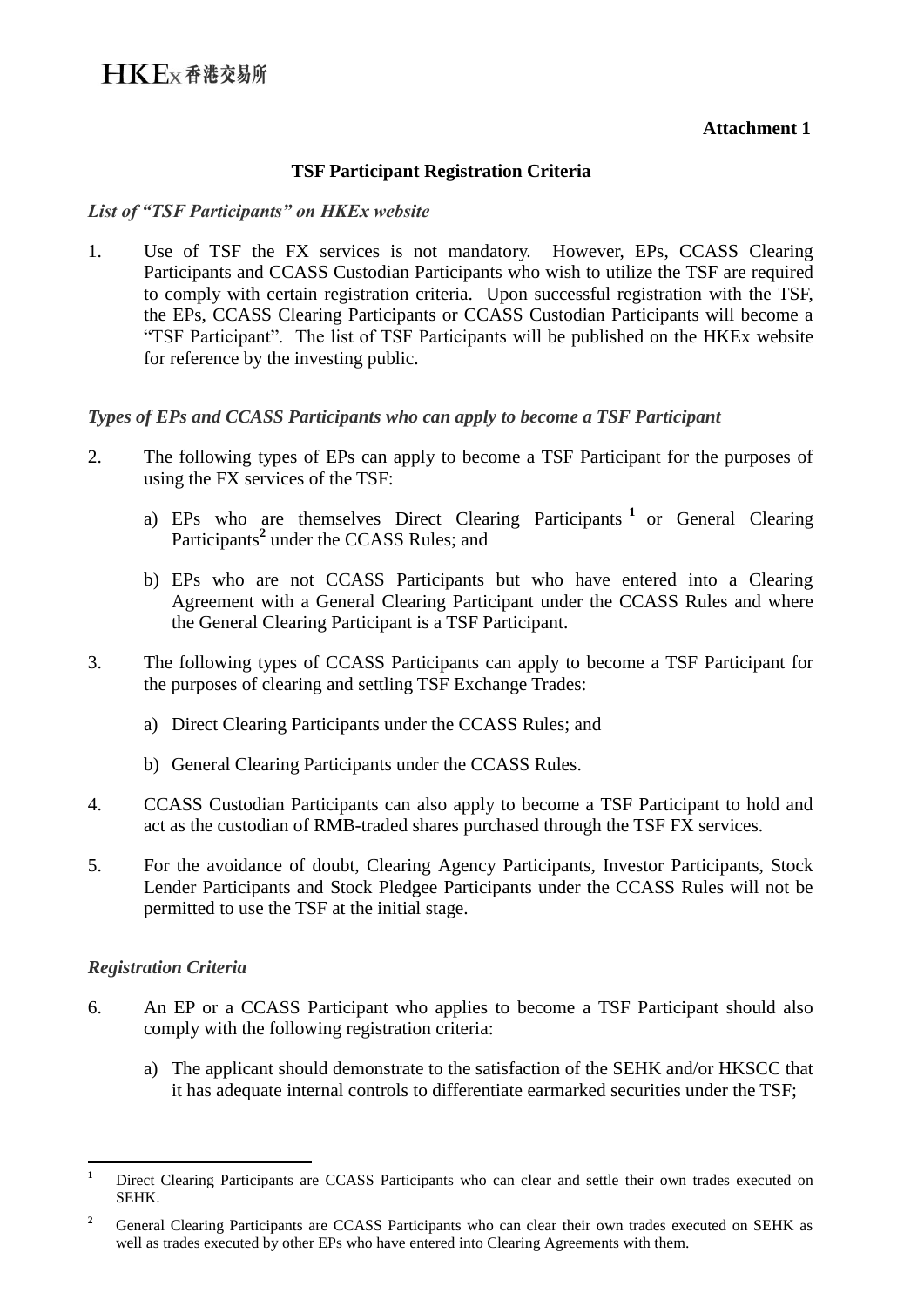### **Attachment 1**

### **TSF Participant Registration Criteria**

#### *List of "TSF Participants" on HKEx website*

1. Use of TSF the FX services is not mandatory. However, EPs, CCASS Clearing Participants and CCASS Custodian Participants who wish to utilize the TSF are required to comply with certain registration criteria. Upon successful registration with the TSF, the EPs, CCASS Clearing Participants or CCASS Custodian Participants will become a "TSF Participant". The list of TSF Participants will be published on the HKEx website for reference by the investing public.

#### *Types of EPs and CCASS Participants who can apply to become a TSF Participant*

- 2. The following types of EPs can apply to become a TSF Participant for the purposes of using the FX services of the TSF:
	- a) EPs who are themselves Direct Clearing Participants **<sup>1</sup>** or General Clearing Participants**<sup>2</sup>** under the CCASS Rules; and
	- b) EPs who are not CCASS Participants but who have entered into a Clearing Agreement with a General Clearing Participant under the CCASS Rules and where the General Clearing Participant is a TSF Participant.
- 3. The following types of CCASS Participants can apply to become a TSF Participant for the purposes of clearing and settling TSF Exchange Trades:
	- a) Direct Clearing Participants under the CCASS Rules; and
	- b) General Clearing Participants under the CCASS Rules.
- 4. CCASS Custodian Participants can also apply to become a TSF Participant to hold and act as the custodian of RMB-traded shares purchased through the TSF FX services.
- 5. For the avoidance of doubt, Clearing Agency Participants, Investor Participants, Stock Lender Participants and Stock Pledgee Participants under the CCASS Rules will not be permitted to use the TSF at the initial stage.

### *Registration Criteria*

- 6. An EP or a CCASS Participant who applies to become a TSF Participant should also comply with the following registration criteria:
	- a) The applicant should demonstrate to the satisfaction of the SEHK and/or HKSCC that it has adequate internal controls to differentiate earmarked securities under the TSF;

 $\mathbf{1}$ **<sup>1</sup>** Direct Clearing Participants are CCASS Participants who can clear and settle their own trades executed on SEHK.

<sup>&</sup>lt;sup>2</sup> General Clearing Participants are CCASS Participants who can clear their own trades executed on SEHK as well as trades executed by other EPs who have entered into Clearing Agreements with them.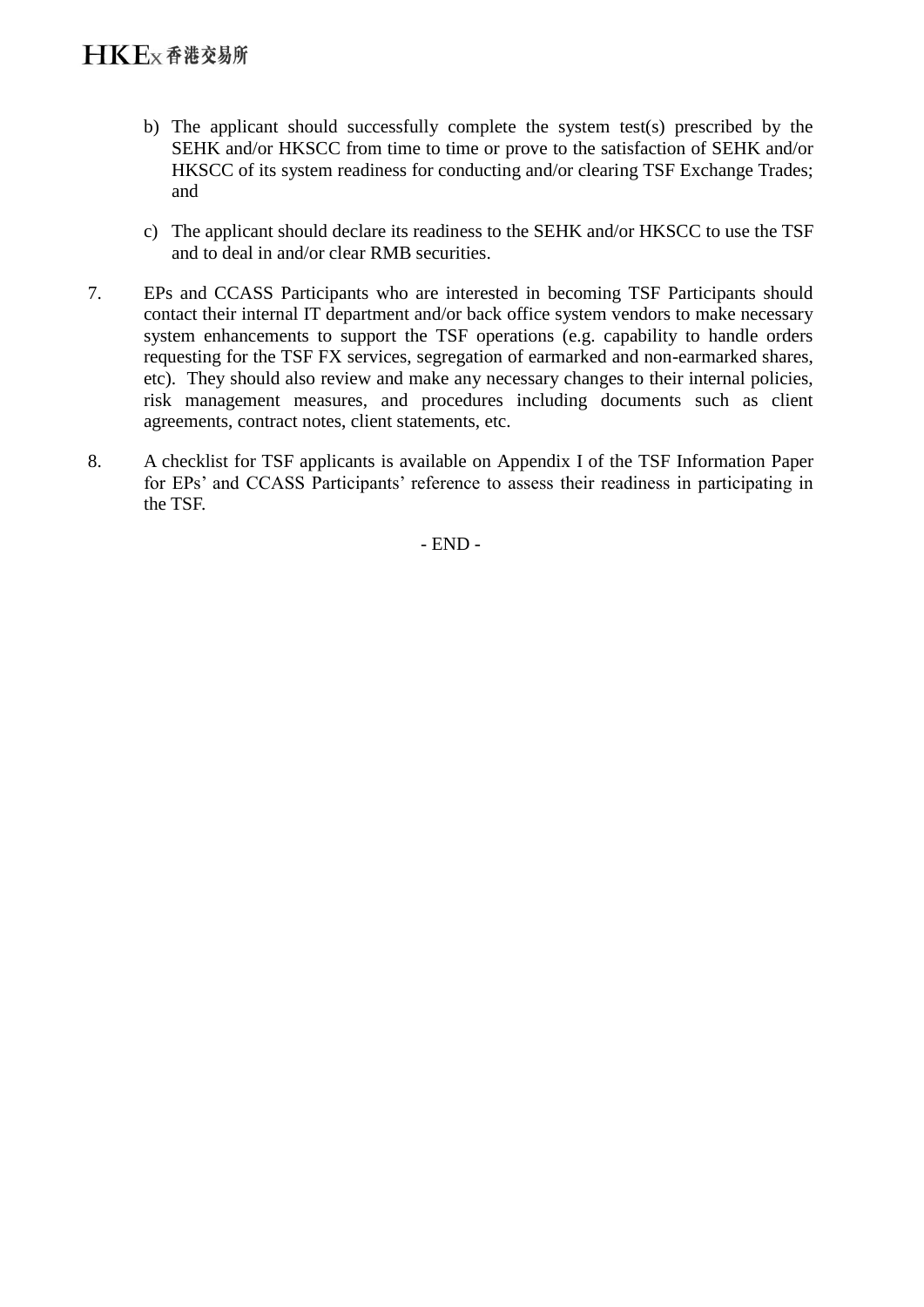- b) The applicant should successfully complete the system test(s) prescribed by the SEHK and/or HKSCC from time to time or prove to the satisfaction of SEHK and/or HKSCC of its system readiness for conducting and/or clearing TSF Exchange Trades; and
- c) The applicant should declare its readiness to the SEHK and/or HKSCC to use the TSF and to deal in and/or clear RMB securities.
- 7. EPs and CCASS Participants who are interested in becoming TSF Participants should contact their internal IT department and/or back office system vendors to make necessary system enhancements to support the TSF operations (e.g. capability to handle orders requesting for the TSF FX services, segregation of earmarked and non-earmarked shares, etc). They should also review and make any necessary changes to their internal policies, risk management measures, and procedures including documents such as client agreements, contract notes, client statements, etc.
- 8. A checklist for TSF applicants is available on Appendix I of the TSF Information Paper for EPs' and CCASS Participants' reference to assess their readiness in participating in the TSF.

- END -